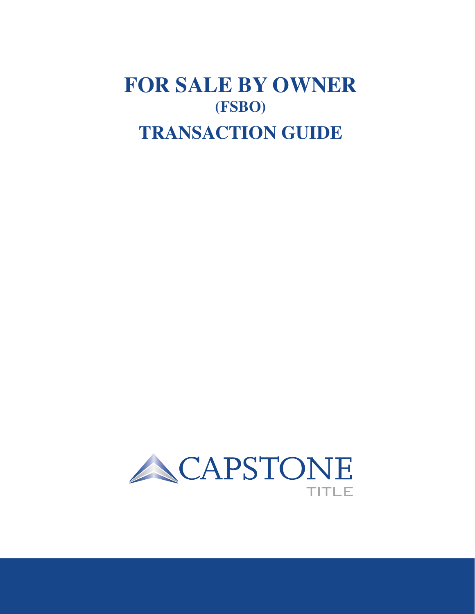# **FOR SALE BY OWNER (FSBO) TRANSACTION GUIDE**

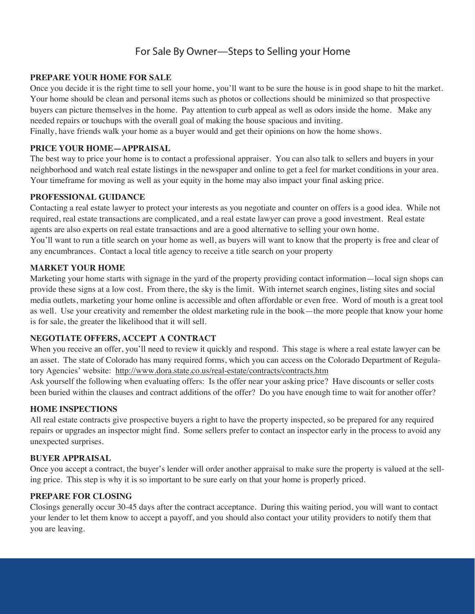## **For Sale By Owner—Steps to Selling your Home**

#### **PREPARE YOUR HOME FOR SALE**

Once you decide it is the right time to sell your home, you'll want to be sure the house is in good shape to hit the market. Your home should be clean and personal items such as photos or collections should be minimized so that prospective buyers can picture themselves in the home. Pay attention to curb appeal as well as odors inside the home. Make any needed repairs or touchups with the overall goal of making the house spacious and inviting.

Finally, have friends walk your home as a buyer would and get their opinions on how the home shows.

#### **PRICE YOUR HOME—APPRAISAL**

The best way to price your home is to contact a professional appraiser. You can also talk to sellers and buyers in your neighborhood and watch real estate listings in the newspaper and online to get a feel for market conditions in your area. Your timeframe for moving as well as your equity in the home may also impact your final asking price.

#### **PROFESSIONAL GUIDANCE**

Contacting a real estate lawyer to protect your interests as you negotiate and counter on offers is a good idea. While not required, real estate transactions are complicated, and a real estate lawyer can prove a good investment. Real estate agents are also experts on real estate transactions and are a good alternative to selling your own home. You'll want to run a title search on your home as well, as buyers will want to know that the property is free and clear of any encumbrances. Contact a local title agency to receive a title search on your property

#### **MARKET YOUR HOME**

Marketing your home starts with signage in the yard of the property providing contact information—local sign shops can provide these signs at a low cost. From there, the sky is the limit. With internet search engines, listing sites and social media outlets, marketing your home online is accessible and often affordable or even free. Word of mouth is a great tool as well. Use your creativity and remember the oldest marketing rule in the book—the more people that know your home is for sale, the greater the likelihood that it will sell.

#### **NEGOTIATE OFFERS, ACCEPT A CONTRACT**

When you receive an offer, you'll need to review it quickly and respond. This stage is where a real estate lawyer can be an asset. The state of Colorado has many required forms, which you can access on the Colorado Department of Regulatory Agencies' website: http://www.dora.state.co.us/real-estate/contracts/contracts.htm

Ask yourself the following when evaluating offers: Is the offer near your asking price? Have discounts or seller costs been buried within the clauses and contract additions of the offer? Do you have enough time to wait for another offer?

#### **HOME INSPECTIONS**

All real estate contracts give prospective buyers a right to have the property inspected, so be prepared for any required repairs or upgrades an inspector might find. Some sellers prefer to contact an inspector early in the process to avoid any unexpected surprises.

#### **BUYER APPRAISAL**

Once you accept a contract, the buyer's lender will order another appraisal to make sure the property is valued at the selling price. This step is why it is so important to be sure early on that your home is properly priced.

#### **PREPARE FOR CLOSING**

Closings generally occur 30-45 days after the contract acceptance. During this waiting period, you will want to contact your lender to let them know to accept a payoff, and you should also contact your utility providers to notify them that you are leaving.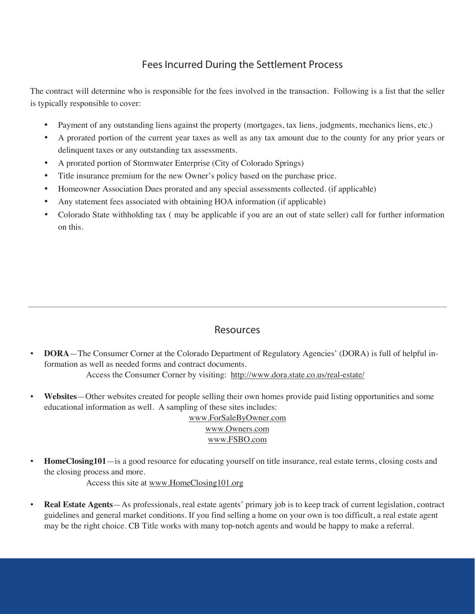## **Fees Incurred During the Settlement Process**

The contract will determine who is responsible for the fees involved in the transaction. Following is a list that the seller is typically responsible to cover:

- Payment of any outstanding liens against the property (mortgages, tax liens, judgments, mechanics liens, etc.)
- A prorated portion of the current year taxes as well as any tax amount due to the county for any prior years or delinquent taxes or any outstanding tax assessments.
- A prorated portion of Stormwater Enterprise (City of Colorado Springs)
- Title insurance premium for the new Owner's policy based on the purchase price.
- Homeowner Association Dues prorated and any special assessments collected. (if applicable)
- Any statement fees associated with obtaining HOA information (if applicable)
- Colorado State withholding tax (may be applicable if you are an out of state seller) call for further information on this.

## **Resources**

- **DORA**—The Consumer Corner at the Colorado Department of Regulatory Agencies' (DORA) is full of helpful information as well as needed forms and contract documents. Access the Consumer Corner by visiting: http://www.dora.state.co.us/real-estate/
- **Websites**—Other websites created for people selling their own homes provide paid listing opportunities and some educational information as well. A sampling of these sites includes:

www.ForSaleByOwner.com www.Owners.com www.FSBO.com

• **HomeClosing101**—is a good resource for educating yourself on title insurance, real estate terms, closing costs and the closing process and more.

Access this site at www.HomeClosing101.org

• **Real Estate Agents**—As professionals, real estate agents' primary job is to keep track of current legislation, contract guidelines and general market conditions. If you find selling a home on your own is too difficult, a real estate agent may be the right choice. CB Title works with many top-notch agents and would be happy to make a referral.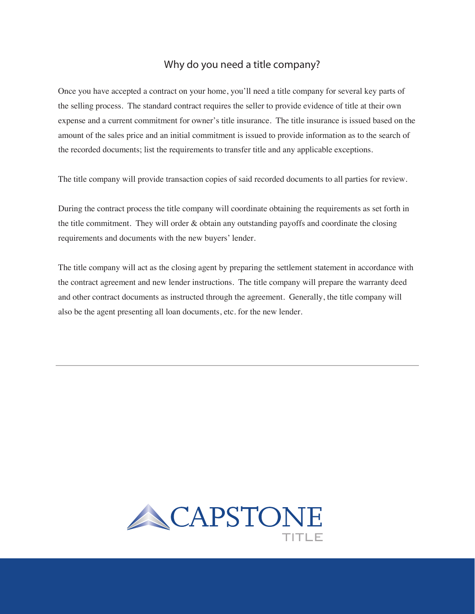### **Why do you need a title company?**

Once you have accepted a contract on your home, you'll need a title company for several key parts of the selling process. The standard contract requires the seller to provide evidence of title at their own expense and a current commitment for owner's title insurance. The title insurance is issued based on the amount of the sales price and an initial commitment is issued to provide information as to the search of the recorded documents; list the requirements to transfer title and any applicable exceptions.

The title company will provide transaction copies of said recorded documents to all parties for review.

During the contract process the title company will coordinate obtaining the requirements as set forth in the title commitment. They will order  $\&$  obtain any outstanding payoffs and coordinate the closing requirements and documents with the new buyers' lender.

The title company will act as the closing agent by preparing the settlement statement in accordance with the contract agreement and new lender instructions. The title company will prepare the warranty deed and other contract documents as instructed through the agreement. Generally, the title company will also be the agent presenting all loan documents, etc. for the new lender.